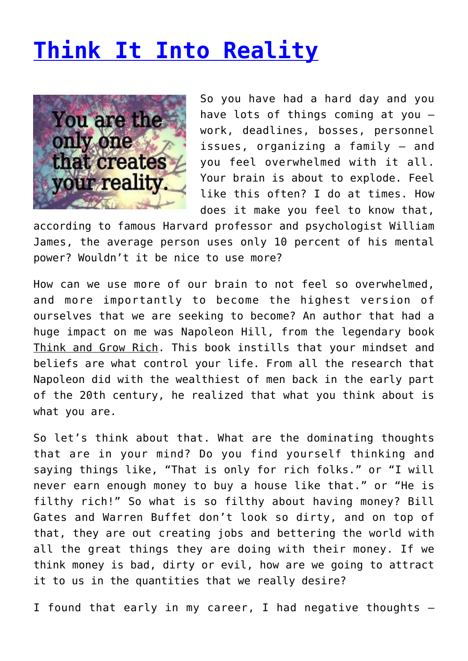## **[Think It Into Reality](http://anentrepreneurialjourney.com/think-it-into-reality/)**



So you have had a hard day and you have lots of things coming at you – work, deadlines, bosses, personnel issues, organizing a family – and you feel overwhelmed with it all. Your brain is about to explode. Feel like this often? I do at times. How does it make you feel to know that,

according to famous Harvard professor and psychologist William James, the average person uses only 10 percent of his mental power? Wouldn't it be nice to use more?

How can we use more of our brain to not feel so overwhelmed, and more importantly to become the highest version of ourselves that we are seeking to become? An author that had a huge impact on me was Napoleon Hill, from the legendary book Think and Grow Rich. This book instills that your mindset and beliefs are what control your life. From all the research that Napoleon did with the wealthiest of men back in the early part of the 20th century, he realized that what you think about is what you are.

So let's think about that. What are the dominating thoughts that are in your mind? Do you find yourself thinking and saying things like, "That is only for rich folks." or "I will never earn enough money to buy a house like that." or "He is filthy rich!" So what is so filthy about having money? Bill Gates and Warren Buffet don't look so dirty, and on top of that, they are out creating jobs and bettering the world with all the great things they are doing with their money. If we think money is bad, dirty or evil, how are we going to attract it to us in the quantities that we really desire?

I found that early in my career, I had negative thoughts  $-$